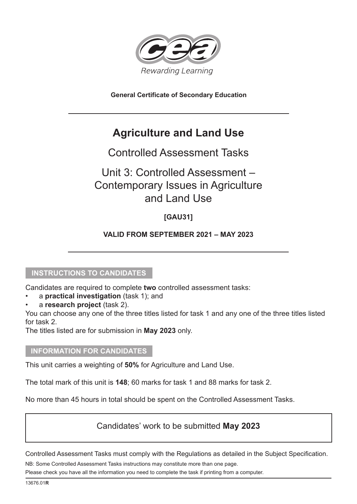

**General Certificate of Secondary Education**

# **Agriculture and Land Use**

# Controlled Assessment Tasks

# Unit 3: Controlled Assessment – Contemporary Issues in Agriculture and Land Use

## **[GAU31]**

### **VALID FROM SEPTEMBER 2021 – MAY 2023**

### **INSTRUCTIONS TO CANDIDATES**

Candidates are required to complete **two** controlled assessment tasks:

- a **practical investigation** (task 1); and
- a **research project** (task 2).

You can choose any one of the three titles listed for task 1 and any one of the three titles listed for task 2.

The titles listed are for submission in **May 2023** only.

### **INFORMATION FOR CANDIDATES**

This unit carries a weighting of **50%** for Agriculture and Land Use.

The total mark of this unit is **148**; 60 marks for task 1 and 88 marks for task 2.

No more than 45 hours in total should be spent on the Controlled Assessment Tasks.

## Candidates' work to be submitted **May 2023**

Controlled Assessment Tasks must comply with the Regulations as detailed in the Subject Specification.

NB: Some Controlled Assessment Tasks instructions may constitute more than one page.

Please check you have all the information you need to complete the task if printing from a computer.